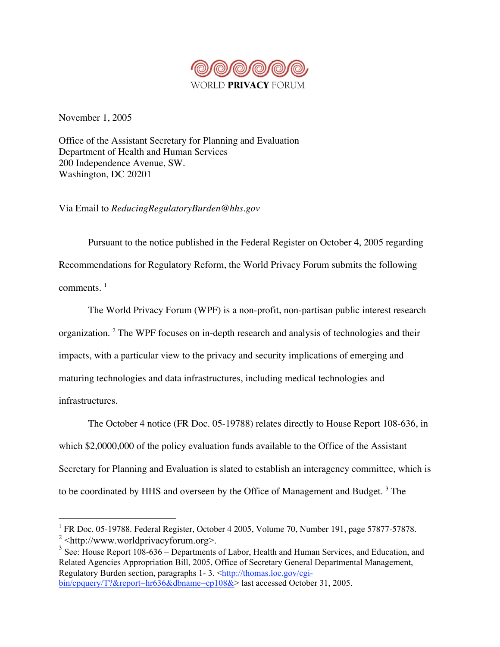

November 1, 2005

Office of the Assistant Secretary for Planning and Evaluation Department of Health and Human Services 200 Independence Avenue, SW. Washington, DC 20201

Via Email to *ReducingRegulatoryBurden@hhs.gov*

Pursuant to the notice published in the Federal Register on October 4, 2005 regarding Recommendations for Regulatory Reform, the World Privacy Forum submits the following comments.  $1$ 

The World Privacy Forum (WPF) is a non-profit, non-partisan public interest research organization. <sup>2</sup> The WPF focuses on in-depth research and analysis of technologies and their impacts, with a particular view to the privacy and security implications of emerging and maturing technologies and data infrastructures, including medical technologies and infrastructures.

The October 4 notice (FR Doc. 05-19788) relates directly to House Report 108-636, in which \$2,0000,000 of the policy evaluation funds available to the Office of the Assistant Secretary for Planning and Evaluation is slated to establish an interagency committee, which is to be coordinated by HHS and overseen by the Office of Management and Budget.<sup>3</sup> The

 $1$  FR Doc. 05-19788. Federal Register, October 4 2005, Volume 70, Number 191, page 57877-57878.  $2$  <http://www.worldprivacyforum.org>.

 $3$  See: House Report 108-636 – Departments of Labor, Health and Human Services, and Education, and Related Agencies Appropriation Bill, 2005, Office of Secretary General Departmental Management, Regulatory Burden section, paragraphs 1-3. <http://thomas.loc.gov/cgibin/cpquery/T?&report=hr636&dbname=cp108&> last accessed October 31, 2005.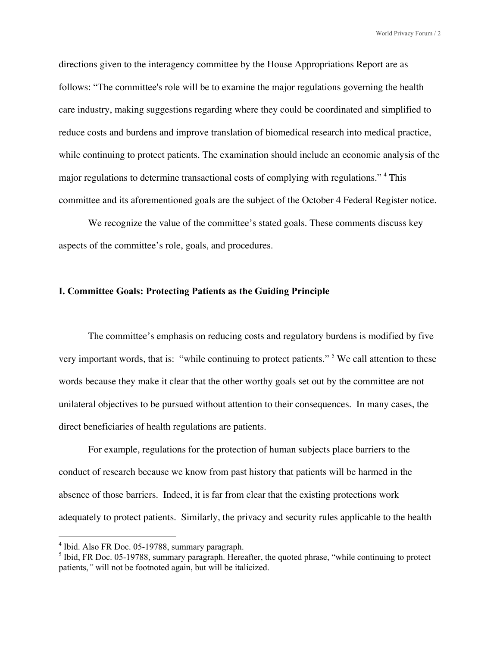directions given to the interagency committee by the House Appropriations Report are as follows: "The committee's role will be to examine the major regulations governing the health care industry, making suggestions regarding where they could be coordinated and simplified to reduce costs and burdens and improve translation of biomedical research into medical practice, while continuing to protect patients. The examination should include an economic analysis of the major regulations to determine transactional costs of complying with regulations." <sup>4</sup> This committee and its aforementioned goals are the subject of the October 4 Federal Register notice.

We recognize the value of the committee's stated goals. These comments discuss key aspects of the committee's role, goals, and procedures.

#### I. Committee Goals: Protecting Patients as the Guiding Principle

The committee's emphasis on reducing costs and regulatory burdens is modified by five very important words, that is: "while continuing to protect patients." <sup>5</sup> We call attention to these words because they make it clear that the other worthy goals set out by the committee are not unilateral objectives to be pursued without attention to their consequences. In many cases, the direct beneficiaries of health regulations are patients.

For example, regulations for the protection of human subjects place barriers to the conduct of research because we know from past history that patients will be harmed in the absence of those barriers. Indeed, it is far from clear that the existing protections work adequately to protect patients. Similarly, the privacy and security rules applicable to the health

 $\frac{1}{4}$  $<sup>4</sup>$  Ibid. Also FR Doc. 05-19788, summary paragraph.</sup>

<sup>&</sup>lt;sup>5</sup> Ibid, FR Doc. 05-19788, summary paragraph. Hereafter, the quoted phrase, "while continuing to protect patients,*"* will not be footnoted again, but will be italicized.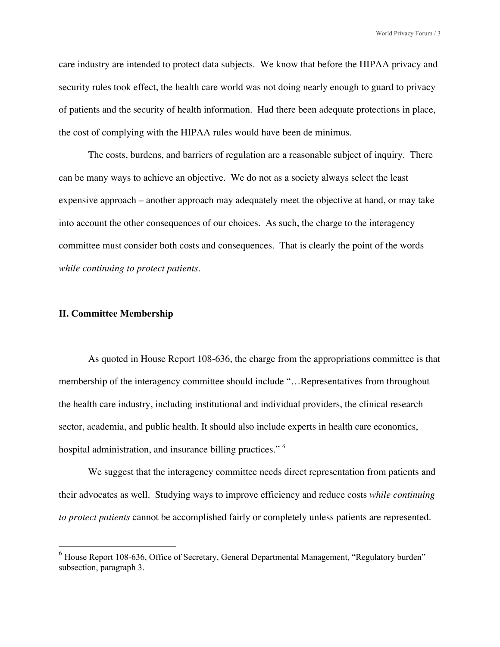care industry are intended to protect data subjects. We know that before the HIPAA privacy and security rules took effect, the health care world was not doing nearly enough to guard to privacy of patients and the security of health information. Had there been adequate protections in place, the cost of complying with the HIPAA rules would have been de minimus.

The costs, burdens, and barriers of regulation are a reasonable subject of inquiry. There can be many ways to achieve an objective. We do not as a society always select the least expensive approach – another approach may adequately meet the objective at hand, or may take into account the other consequences of our choices. As such, the charge to the interagency committee must consider both costs and consequences. That is clearly the point of the words *while continuing to protect patients*.

### II. Committee Membership

As quoted in House Report 108-636, the charge from the appropriations committee is that membership of the interagency committee should include "…Representatives from throughout the health care industry, including institutional and individual providers, the clinical research sector, academia, and public health. It should also include experts in health care economics, hospital administration, and insurance billing practices."<sup>6</sup>

We suggest that the interagency committee needs direct representation from patients and their advocates as well. Studying ways to improve efficiency and reduce costs *while continuing to protect patients* cannot be accomplished fairly or completely unless patients are represented.

<sup>6</sup> House Report 108-636, Office of Secretary, General Departmental Management, "Regulatory burden" subsection, paragraph 3.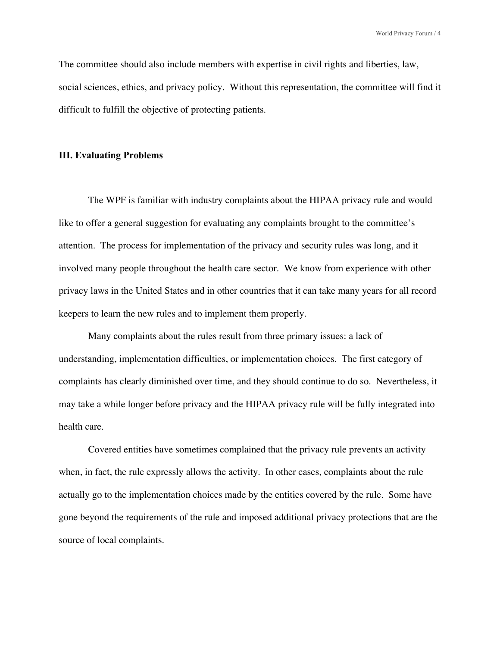The committee should also include members with expertise in civil rights and liberties, law, social sciences, ethics, and privacy policy. Without this representation, the committee will find it difficult to fulfill the objective of protecting patients.

#### III. Evaluating Problems

The WPF is familiar with industry complaints about the HIPAA privacy rule and would like to offer a general suggestion for evaluating any complaints brought to the committee's attention. The process for implementation of the privacy and security rules was long, and it involved many people throughout the health care sector. We know from experience with other privacy laws in the United States and in other countries that it can take many years for all record keepers to learn the new rules and to implement them properly.

Many complaints about the rules result from three primary issues: a lack of understanding, implementation difficulties, or implementation choices. The first category of complaints has clearly diminished over time, and they should continue to do so. Nevertheless, it may take a while longer before privacy and the HIPAA privacy rule will be fully integrated into health care.

Covered entities have sometimes complained that the privacy rule prevents an activity when, in fact, the rule expressly allows the activity. In other cases, complaints about the rule actually go to the implementation choices made by the entities covered by the rule. Some have gone beyond the requirements of the rule and imposed additional privacy protections that are the source of local complaints.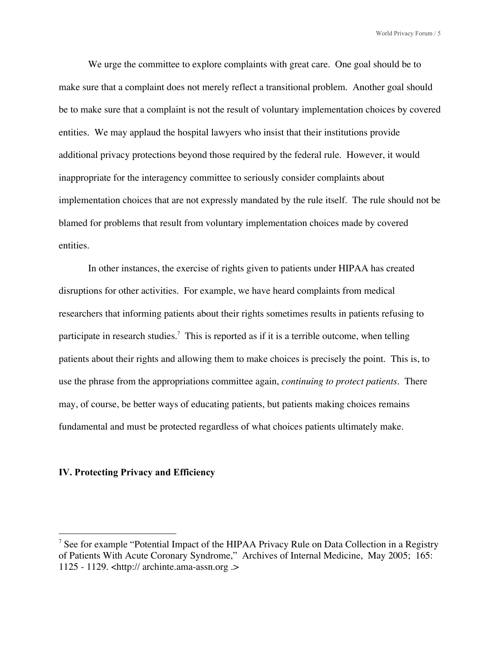We urge the committee to explore complaints with great care. One goal should be to make sure that a complaint does not merely reflect a transitional problem. Another goal should be to make sure that a complaint is not the result of voluntary implementation choices by covered entities. We may applaud the hospital lawyers who insist that their institutions provide additional privacy protections beyond those required by the federal rule. However, it would inappropriate for the interagency committee to seriously consider complaints about implementation choices that are not expressly mandated by the rule itself. The rule should not be blamed for problems that result from voluntary implementation choices made by covered entities.

In other instances, the exercise of rights given to patients under HIPAA has created disruptions for other activities. For example, we have heard complaints from medical researchers that informing patients about their rights sometimes results in patients refusing to participate in research studies.<sup>7</sup> This is reported as if it is a terrible outcome, when telling patients about their rights and allowing them to make choices is precisely the point. This is, to use the phrase from the appropriations committee again, *continuing to protect patients*. There may, of course, be better ways of educating patients, but patients making choices remains fundamental and must be protected regardless of what choices patients ultimately make.

# IV. Protecting Privacy and Efficiency

<sup>—&</sup>lt;br>7 <sup>7</sup> See for example "Potential Impact of the HIPAA Privacy Rule on Data Collection in a Registry of Patients With Acute Coronary Syndrome," Archives of Internal Medicine, May 2005; 165: 1125 - 1129. <http:// archinte.ama-assn.org .>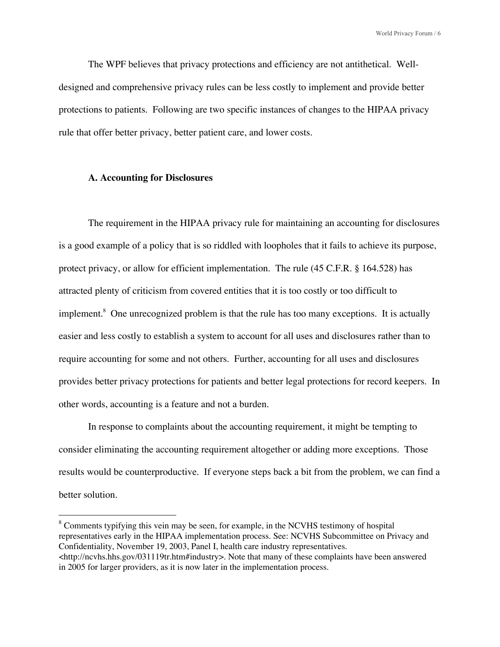The WPF believes that privacy protections and efficiency are not antithetical. Welldesigned and comprehensive privacy rules can be less costly to implement and provide better protections to patients. Following are two specific instances of changes to the HIPAA privacy rule that offer better privacy, better patient care, and lower costs.

## **A. Accounting for Disclosures**

The requirement in the HIPAA privacy rule for maintaining an accounting for disclosures is a good example of a policy that is so riddled with loopholes that it fails to achieve its purpose, protect privacy, or allow for efficient implementation. The rule (45 C.F.R. § 164.528) has attracted plenty of criticism from covered entities that it is too costly or too difficult to implement.<sup>8</sup> One unrecognized problem is that the rule has too many exceptions. It is actually easier and less costly to establish a system to account for all uses and disclosures rather than to require accounting for some and not others. Further, accounting for all uses and disclosures provides better privacy protections for patients and better legal protections for record keepers. In other words, accounting is a feature and not a burden.

In response to complaints about the accounting requirement, it might be tempting to consider eliminating the accounting requirement altogether or adding more exceptions. Those results would be counterproductive. If everyone steps back a bit from the problem, we can find a better solution.

<sup>&</sup>lt;sup>8</sup> Comments typifying this vein may be seen, for example, in the NCVHS testimony of hospital representatives early in the HIPAA implementation process. See: NCVHS Subcommittee on Privacy and Confidentiality, November 19, 2003, Panel I, health care industry representatives. <http://ncvhs.hhs.gov/031119tr.htm#industry>. Note that many of these complaints have been answered

in 2005 for larger providers, as it is now later in the implementation process.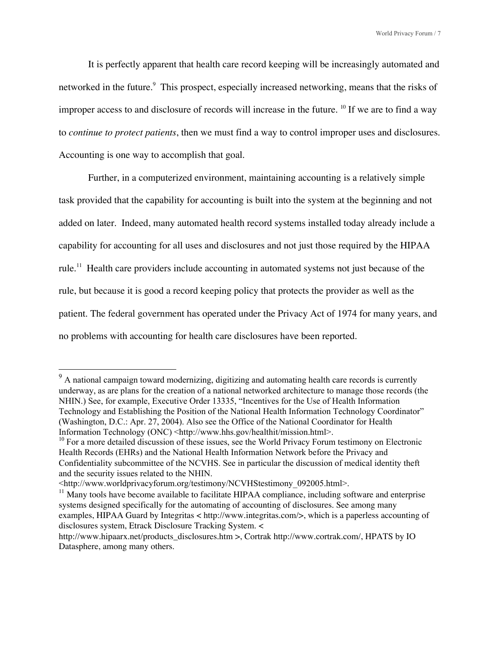It is perfectly apparent that health care record keeping will be increasingly automated and networked in the future.<sup>9</sup> This prospect, especially increased networking, means that the risks of improper access to and disclosure of records will increase in the future. <sup>10</sup> If we are to find a way to *continue to protect patients*, then we must find a way to control improper uses and disclosures. Accounting is one way to accomplish that goal.

Further, in a computerized environment, maintaining accounting is a relatively simple task provided that the capability for accounting is built into the system at the beginning and not added on later. Indeed, many automated health record systems installed today already include a capability for accounting for all uses and disclosures and not just those required by the HIPAA rule.<sup>11</sup> Health care providers include accounting in automated systems not just because of the rule, but because it is good a record keeping policy that protects the provider as well as the patient. The federal government has operated under the Privacy Act of 1974 for many years, and no problems with accounting for health care disclosures have been reported.

<sup>&</sup>lt;sup>9</sup> A national campaign toward modernizing, digitizing and automating health care records is currently underway, as are plans for the creation of a national networked architecture to manage those records (the NHIN.) See, for example, Executive Order 13335, "Incentives for the Use of Health Information Technology and Establishing the Position of the National Health Information Technology Coordinator" (Washington, D.C.: Apr. 27, 2004). Also see the Office of the National Coordinator for Health Information Technology (ONC) <http://www.hhs.gov/healthit/mission.html>.

<sup>&</sup>lt;sup>10</sup> For a more detailed discussion of these issues, see the World Privacy Forum testimony on Electronic Health Records (EHRs) and the National Health Information Network before the Privacy and Confidentiality subcommittee of the NCVHS. See in particular the discussion of medical identity theft and the security issues related to the NHIN.

<sup>&</sup>lt;http://www.worldprivacyforum.org/testimony/NCVHStestimony\_092005.html>.

 $11$  Many tools have become available to facilitate HIPAA compliance, including software and enterprise systems designed specifically for the automating of accounting of disclosures. See among many examples, HIPAA Guard by Integritas < http://www.integritas.com/>, which is a paperless accounting of disclosures system, Etrack Disclosure Tracking System. <

http://www.hipaarx.net/products\_disclosures.htm >, Cortrak http://www.cortrak.com/, HPATS by IO Datasphere, among many others.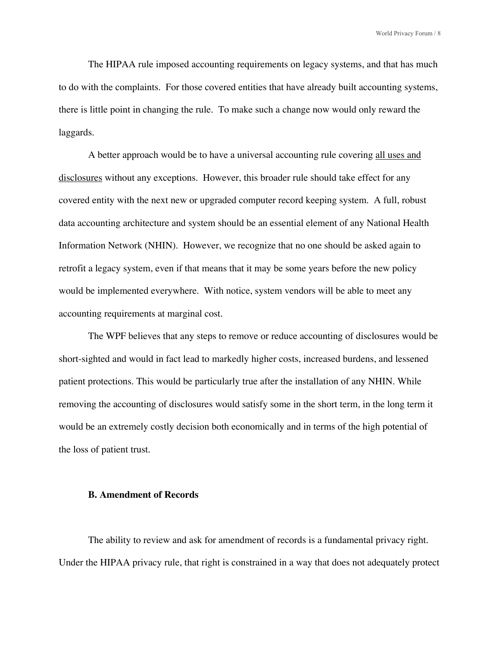The HIPAA rule imposed accounting requirements on legacy systems, and that has much to do with the complaints. For those covered entities that have already built accounting systems, there is little point in changing the rule. To make such a change now would only reward the laggards.

A better approach would be to have a universal accounting rule covering all uses and disclosures without any exceptions. However, this broader rule should take effect for any covered entity with the next new or upgraded computer record keeping system. A full, robust data accounting architecture and system should be an essential element of any National Health Information Network (NHIN). However, we recognize that no one should be asked again to retrofit a legacy system, even if that means that it may be some years before the new policy would be implemented everywhere. With notice, system vendors will be able to meet any accounting requirements at marginal cost.

The WPF believes that any steps to remove or reduce accounting of disclosures would be short-sighted and would in fact lead to markedly higher costs, increased burdens, and lessened patient protections. This would be particularly true after the installation of any NHIN. While removing the accounting of disclosures would satisfy some in the short term, in the long term it would be an extremely costly decision both economically and in terms of the high potential of the loss of patient trust.

# **B. Amendment of Records**

The ability to review and ask for amendment of records is a fundamental privacy right. Under the HIPAA privacy rule, that right is constrained in a way that does not adequately protect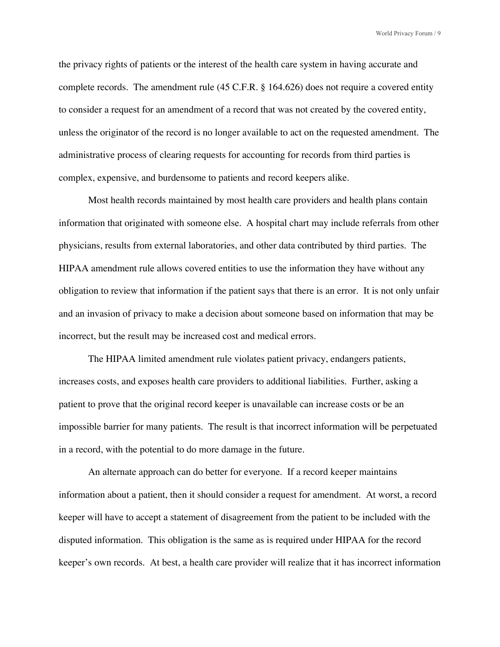the privacy rights of patients or the interest of the health care system in having accurate and complete records. The amendment rule (45 C.F.R. § 164.626) does not require a covered entity to consider a request for an amendment of a record that was not created by the covered entity, unless the originator of the record is no longer available to act on the requested amendment. The administrative process of clearing requests for accounting for records from third parties is complex, expensive, and burdensome to patients and record keepers alike.

Most health records maintained by most health care providers and health plans contain information that originated with someone else. A hospital chart may include referrals from other physicians, results from external laboratories, and other data contributed by third parties. The HIPAA amendment rule allows covered entities to use the information they have without any obligation to review that information if the patient says that there is an error. It is not only unfair and an invasion of privacy to make a decision about someone based on information that may be incorrect, but the result may be increased cost and medical errors.

The HIPAA limited amendment rule violates patient privacy, endangers patients, increases costs, and exposes health care providers to additional liabilities. Further, asking a patient to prove that the original record keeper is unavailable can increase costs or be an impossible barrier for many patients. The result is that incorrect information will be perpetuated in a record, with the potential to do more damage in the future.

An alternate approach can do better for everyone. If a record keeper maintains information about a patient, then it should consider a request for amendment. At worst, a record keeper will have to accept a statement of disagreement from the patient to be included with the disputed information. This obligation is the same as is required under HIPAA for the record keeper's own records. At best, a health care provider will realize that it has incorrect information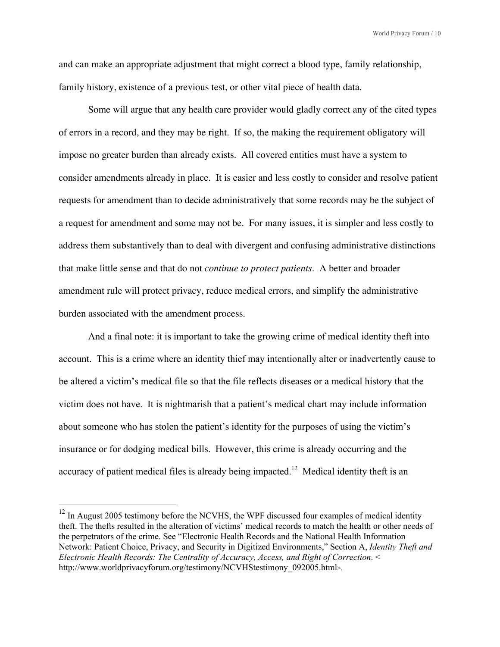and can make an appropriate adjustment that might correct a blood type, family relationship, family history, existence of a previous test, or other vital piece of health data.

Some will argue that any health care provider would gladly correct any of the cited types of errors in a record, and they may be right. If so, the making the requirement obligatory will impose no greater burden than already exists. All covered entities must have a system to consider amendments already in place. It is easier and less costly to consider and resolve patient requests for amendment than to decide administratively that some records may be the subject of a request for amendment and some may not be. For many issues, it is simpler and less costly to address them substantively than to deal with divergent and confusing administrative distinctions that make little sense and that do not *continue to protect patients*. A better and broader amendment rule will protect privacy, reduce medical errors, and simplify the administrative burden associated with the amendment process.

And a final note: it is important to take the growing crime of medical identity theft into account. This is a crime where an identity thief may intentionally alter or inadvertently cause to be altered a victim's medical file so that the file reflects diseases or a medical history that the victim does not have. It is nightmarish that a patient's medical chart may include information about someone who has stolen the patient's identity for the purposes of using the victim's insurance or for dodging medical bills. However, this crime is already occurring and the accuracy of patient medical files is already being impacted.<sup>12</sup> Medical identity theft is an

 $12$  In August 2005 testimony before the NCVHS, the WPF discussed four examples of medical identity theft. The thefts resulted in the alteration of victims' medical records to match the health or other needs of the perpetrators of the crime. See "Electronic Health Records and the National Health Information Network: Patient Choice, Privacy, and Security in Digitized Environments," Section A, *Identity Theft and Electronic Health Records: The Centrality of Accuracy, Access, and Right of Correction*. < http://www.worldprivacyforum.org/testimony/NCVHStestimony\_092005.html>.